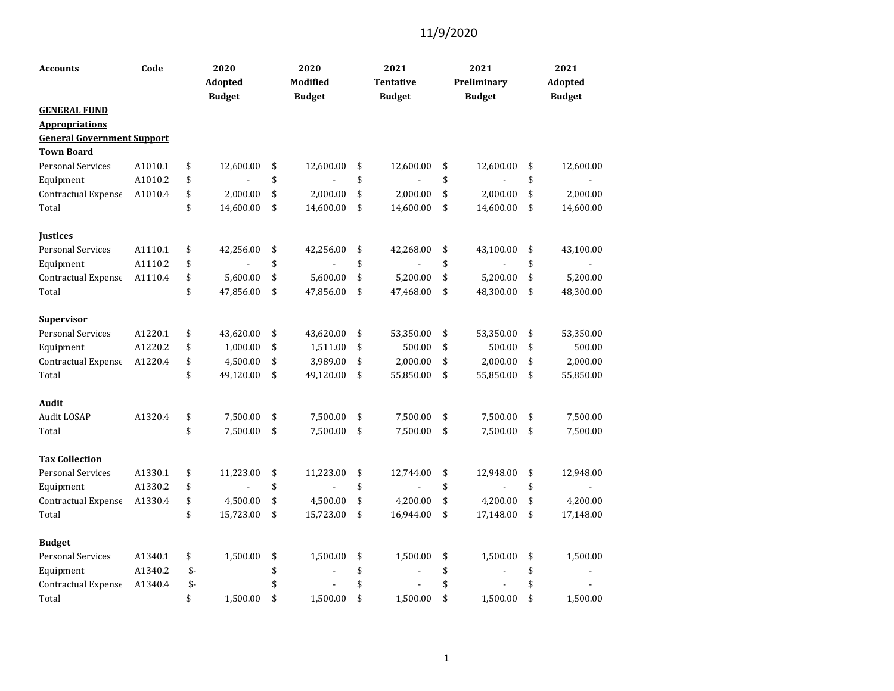| <b>Accounts</b>                   | Code    |      | 2020<br>Adopted<br><b>Budget</b> | 2020<br>Modified<br><b>Budget</b> | 2021<br><b>Tentative</b><br><b>Budget</b> | 2021<br>Preliminary<br><b>Budget</b> | 2021<br>Adopted<br><b>Budget</b> |
|-----------------------------------|---------|------|----------------------------------|-----------------------------------|-------------------------------------------|--------------------------------------|----------------------------------|
| <b>GENERAL FUND</b>               |         |      |                                  |                                   |                                           |                                      |                                  |
| <b>Appropriations</b>             |         |      |                                  |                                   |                                           |                                      |                                  |
| <b>General Government Support</b> |         |      |                                  |                                   |                                           |                                      |                                  |
| <b>Town Board</b>                 |         |      |                                  |                                   |                                           |                                      |                                  |
| <b>Personal Services</b>          | A1010.1 | \$   | 12,600.00                        | \$<br>12,600.00                   | \$<br>12,600.00                           | \$<br>12,600.00                      | \$<br>12,600.00                  |
| Equipment                         | A1010.2 | \$   |                                  | \$                                | \$                                        | \$                                   | \$                               |
| Contractual Expense               | A1010.4 | \$   | 2,000.00                         | \$<br>2,000.00                    | \$<br>2,000.00                            | \$<br>2,000.00                       | \$<br>2,000.00                   |
| Total                             |         | \$   | 14,600.00                        | \$<br>14,600.00                   | \$<br>14,600.00                           | \$<br>14,600.00                      | \$<br>14,600.00                  |
| <b>Justices</b>                   |         |      |                                  |                                   |                                           |                                      |                                  |
| <b>Personal Services</b>          | A1110.1 | \$   | 42,256.00                        | \$<br>42,256.00                   | \$<br>42,268.00                           | \$<br>43,100.00                      | \$<br>43,100.00                  |
| Equipment                         | A1110.2 | \$   |                                  | \$                                | \$                                        | \$<br>$\overline{\phantom{a}}$       | \$                               |
| Contractual Expense               | A1110.4 | \$   | 5,600.00                         | \$<br>5,600.00                    | \$<br>5,200.00                            | \$<br>5,200.00                       | \$<br>5,200.00                   |
| Total                             |         | \$   | 47,856.00                        | \$<br>47,856.00                   | \$<br>47,468.00                           | \$<br>48,300.00                      | \$<br>48,300.00                  |
| Supervisor                        |         |      |                                  |                                   |                                           |                                      |                                  |
| <b>Personal Services</b>          | A1220.1 | \$   | 43,620.00                        | \$<br>43,620.00                   | \$<br>53,350.00                           | \$<br>53,350.00                      | \$<br>53,350.00                  |
| Equipment                         | A1220.2 | \$   | 1,000.00                         | \$<br>1,511.00                    | \$<br>500.00                              | \$<br>500.00                         | \$<br>500.00                     |
| Contractual Expense               | A1220.4 | \$   | 4,500.00                         | \$<br>3,989.00                    | \$<br>2,000.00                            | \$<br>2,000.00                       | \$<br>2,000.00                   |
| Total                             |         | \$   | 49,120.00                        | \$<br>49,120.00                   | \$<br>55,850.00                           | \$<br>55,850.00                      | \$<br>55,850.00                  |
| Audit                             |         |      |                                  |                                   |                                           |                                      |                                  |
| Audit LOSAP                       | A1320.4 | \$   | 7,500.00                         | \$<br>7,500.00                    | \$<br>7,500.00                            | \$<br>7,500.00                       | \$<br>7,500.00                   |
| Total                             |         | \$   | 7,500.00                         | \$<br>7,500.00                    | \$<br>7,500.00                            | \$<br>7,500.00                       | \$<br>7,500.00                   |
| <b>Tax Collection</b>             |         |      |                                  |                                   |                                           |                                      |                                  |
| <b>Personal Services</b>          | A1330.1 | \$   | 11,223.00                        | \$<br>11,223.00                   | \$<br>12,744.00                           | \$<br>12,948.00                      | \$<br>12,948.00                  |
| Equipment                         | A1330.2 | \$   |                                  | \$                                | \$                                        | \$<br>$\overline{\phantom{0}}$       | \$                               |
| Contractual Expense               | A1330.4 | \$   | 4,500.00                         | \$<br>4,500.00                    | \$<br>4,200.00                            | \$<br>4,200.00                       | \$<br>4,200.00                   |
| Total                             |         | \$   | 15,723.00                        | \$<br>15,723.00                   | \$<br>16,944.00                           | \$<br>17,148.00                      | \$<br>17,148.00                  |
| <b>Budget</b>                     |         |      |                                  |                                   |                                           |                                      |                                  |
| <b>Personal Services</b>          | A1340.1 | \$   | 1,500.00                         | \$<br>1,500.00                    | \$<br>1,500.00                            | \$<br>1,500.00                       | \$<br>1,500.00                   |
| Equipment                         | A1340.2 | \$-  |                                  | \$                                | \$                                        | \$                                   | \$                               |
| Contractual Expense               | A1340.4 | $$-$ |                                  | \$                                | \$                                        | \$                                   | \$                               |
| Total                             |         | \$   | 1,500.00                         | \$<br>1,500.00                    | \$<br>1,500.00                            | \$<br>1,500.00                       | \$<br>1,500.00                   |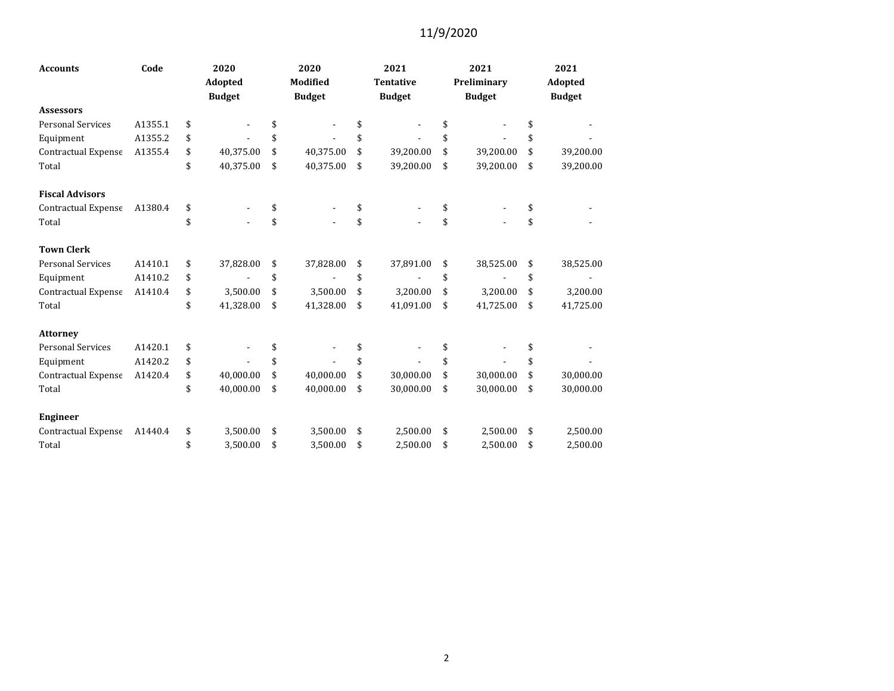| <b>Accounts</b>            | Code    | 2020            |    | 2020          | 2021             | 2021            | 2021            |
|----------------------------|---------|-----------------|----|---------------|------------------|-----------------|-----------------|
|                            |         | <b>Adopted</b>  |    | Modified      | <b>Tentative</b> | Preliminary     | Adopted         |
|                            |         | <b>Budget</b>   |    | <b>Budget</b> | <b>Budget</b>    | <b>Budget</b>   | <b>Budget</b>   |
| <b>Assessors</b>           |         |                 |    |               |                  |                 |                 |
| <b>Personal Services</b>   | A1355.1 | \$              | \$ |               | \$               | \$              | \$              |
| Equipment                  | A1355.2 | \$              | \$ |               | \$               |                 | \$              |
| Contractual Expense        | A1355.4 | \$<br>40,375.00 | \$ | 40,375.00     | \$<br>39,200.00  | \$<br>39,200.00 | \$<br>39,200.00 |
| Total                      |         | \$<br>40,375.00 | \$ | 40,375.00     | \$<br>39,200.00  | \$<br>39,200.00 | \$<br>39,200.00 |
| <b>Fiscal Advisors</b>     |         |                 |    |               |                  |                 |                 |
| <b>Contractual Expense</b> | A1380.4 | \$              | \$ |               | \$               |                 | \$              |
| Total                      |         | \$              | \$ |               | \$               | \$              | \$              |
| <b>Town Clerk</b>          |         |                 |    |               |                  |                 |                 |
| <b>Personal Services</b>   | A1410.1 | \$<br>37,828.00 | \$ | 37,828.00     | \$<br>37,891.00  | \$<br>38,525.00 | \$<br>38,525.00 |
| Equipment                  | A1410.2 | \$              | \$ |               | \$               | \$              | \$              |
| <b>Contractual Expense</b> | A1410.4 | \$<br>3,500.00  | \$ | 3,500.00      | \$<br>3,200.00   | \$<br>3,200.00  | \$<br>3,200.00  |
| Total                      |         | \$<br>41,328.00 | \$ | 41,328.00     | \$<br>41,091.00  | \$<br>41,725.00 | \$<br>41,725.00 |
| <b>Attorney</b>            |         |                 |    |               |                  |                 |                 |
| <b>Personal Services</b>   | A1420.1 | \$              | \$ |               | \$               |                 | \$              |
| Equipment                  | A1420.2 | \$              | \$ |               | \$               | \$              | \$              |
| <b>Contractual Expense</b> | A1420.4 | \$<br>40,000.00 | \$ | 40,000.00     | \$<br>30,000.00  | \$<br>30,000.00 | \$<br>30,000.00 |
| Total                      |         | \$<br>40,000.00 | \$ | 40,000.00     | \$<br>30,000.00  | \$<br>30,000.00 | \$<br>30,000.00 |
| <b>Engineer</b>            |         |                 |    |               |                  |                 |                 |
| Contractual Expense        | A1440.4 | \$<br>3,500.00  | \$ | 3,500.00      | \$<br>2,500.00   | \$<br>2,500.00  | \$<br>2,500.00  |
| Total                      |         | \$<br>3.500.00  | \$ | 3.500.00      | \$<br>2.500.00   | \$<br>2.500.00  | \$<br>2.500.00  |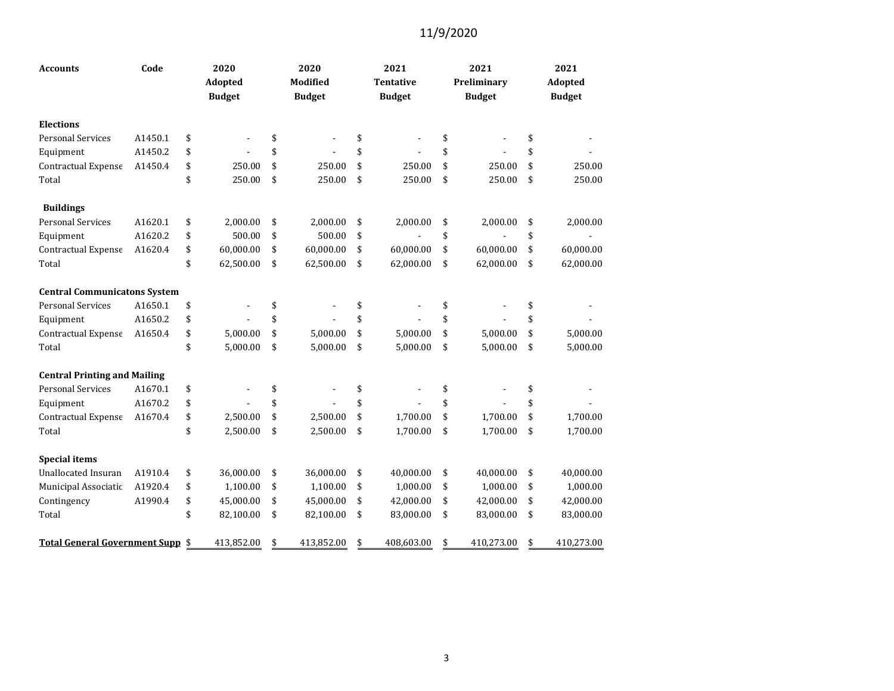| <b>Accounts</b>                     | Code    | 2020<br>Adopted<br><b>Budget</b> | 2020<br>Modified<br><b>Budget</b> | 2021<br><b>Tentative</b><br><b>Budget</b> | 2021<br>Preliminary<br><b>Budget</b> | 2021<br>Adopted<br><b>Budget</b> |
|-------------------------------------|---------|----------------------------------|-----------------------------------|-------------------------------------------|--------------------------------------|----------------------------------|
| <b>Elections</b>                    |         |                                  |                                   |                                           |                                      |                                  |
| <b>Personal Services</b>            | A1450.1 | \$                               | \$                                | \$<br>$\blacksquare$                      | \$                                   | \$                               |
| Equipment                           | A1450.2 | \$                               | \$                                | \$                                        | \$                                   | \$                               |
| Contractual Expense                 | A1450.4 | \$<br>250.00                     | \$<br>250.00                      | \$<br>250.00                              | \$<br>250.00                         | \$<br>250.00                     |
| Total                               |         | \$<br>250.00                     | \$<br>250.00                      | \$<br>250.00                              | \$<br>250.00                         | \$<br>250.00                     |
| <b>Buildings</b>                    |         |                                  |                                   |                                           |                                      |                                  |
| <b>Personal Services</b>            | A1620.1 | \$<br>2,000.00                   | \$<br>2,000.00                    | \$<br>2,000.00                            | \$<br>2,000.00                       | \$<br>2,000.00                   |
| Equipment                           | A1620.2 | \$<br>500.00                     | \$<br>500.00                      | \$                                        | \$                                   | \$                               |
| Contractual Expense                 | A1620.4 | \$<br>60,000.00                  | \$<br>60,000.00                   | \$<br>60,000.00                           | \$<br>60,000.00                      | \$<br>60,000.00                  |
| Total                               |         | \$<br>62,500.00                  | \$<br>62,500.00                   | \$<br>62,000.00                           | \$<br>62,000.00                      | \$<br>62,000.00                  |
| <b>Central Communicatons System</b> |         |                                  |                                   |                                           |                                      |                                  |
| <b>Personal Services</b>            | A1650.1 | \$                               | \$                                | \$                                        | \$                                   | \$                               |
| Equipment                           | A1650.2 | \$                               | \$                                | \$                                        | \$                                   | \$                               |
| Contractual Expense                 | A1650.4 | \$<br>5,000.00                   | \$<br>5.000.00                    | \$<br>5,000.00                            | \$<br>5.000.00                       | \$<br>5,000.00                   |
| Total                               |         | \$<br>5,000.00                   | \$<br>5,000.00                    | \$<br>5,000.00                            | \$<br>5,000.00                       | \$<br>5,000.00                   |
| <b>Central Printing and Mailing</b> |         |                                  |                                   |                                           |                                      |                                  |
| <b>Personal Services</b>            | A1670.1 | \$                               | \$                                | \$                                        | \$                                   | \$                               |
| Equipment                           | A1670.2 | \$                               | \$                                | \$<br>$\overline{\phantom{a}}$            | \$                                   | \$                               |
| Contractual Expense                 | A1670.4 | \$<br>2,500.00                   | \$<br>2,500.00                    | \$<br>1,700.00                            | \$<br>1,700.00                       | \$<br>1,700.00                   |
| Total                               |         | \$<br>2,500.00                   | \$<br>2,500.00                    | \$<br>1,700.00                            | \$<br>1,700.00                       | \$<br>1,700.00                   |
| <b>Special items</b>                |         |                                  |                                   |                                           |                                      |                                  |
| <b>Unallocated Insuran</b>          | A1910.4 | \$<br>36,000.00                  | \$<br>36,000.00                   | \$<br>40,000.00                           | \$<br>40,000.00                      | \$<br>40,000.00                  |
| Municipal Associatic                | A1920.4 | \$<br>1,100.00                   | \$<br>1,100.00                    | \$<br>1,000.00                            | \$<br>1,000.00                       | \$<br>1,000.00                   |
| Contingency                         | A1990.4 | \$<br>45,000.00                  | \$<br>45,000.00                   | \$<br>42,000.00                           | \$<br>42,000.00                      | \$<br>42,000.00                  |
| Total                               |         | \$<br>82,100.00                  | \$<br>82,100.00                   | \$<br>83,000.00                           | \$<br>83,000.00                      | \$<br>83,000.00                  |
| Total General Government Supp \$    |         | 413,852.00                       | \$<br>413,852.00                  | \$<br>408,603.00                          | \$<br>410,273.00                     | \$<br>410,273.00                 |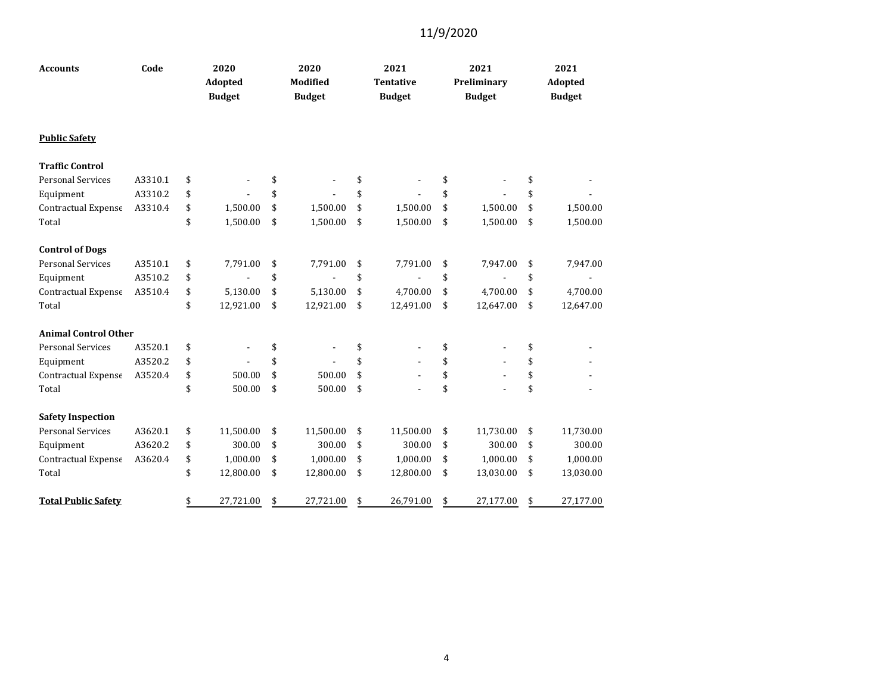| <b>Accounts</b>             | Code    | 2020<br><b>Adopted</b><br><b>Budget</b> |           | 2020<br>Modified<br><b>Budget</b> | 2021<br><b>Tentative</b><br><b>Budget</b> | 2021<br>Preliminary<br><b>Budget</b> | 2021<br><b>Adopted</b><br><b>Budget</b> |
|-----------------------------|---------|-----------------------------------------|-----------|-----------------------------------|-------------------------------------------|--------------------------------------|-----------------------------------------|
| <b>Public Safety</b>        |         |                                         |           |                                   |                                           |                                      |                                         |
| <b>Traffic Control</b>      |         |                                         |           |                                   |                                           |                                      |                                         |
| <b>Personal Services</b>    | A3310.1 | \$                                      |           | \$                                | \$                                        | \$                                   | \$                                      |
| Equipment                   | A3310.2 | \$                                      |           | \$                                | \$                                        | \$                                   | \$                                      |
| Contractual Expense         | A3310.4 | \$                                      | 1,500.00  | \$<br>1,500.00                    | \$<br>1,500.00                            | \$<br>1,500.00                       | \$<br>1,500.00                          |
| Total                       |         | \$                                      | 1,500.00  | \$<br>1,500.00                    | \$<br>1,500.00                            | \$<br>1,500.00                       | \$<br>1,500.00                          |
| <b>Control of Dogs</b>      |         |                                         |           |                                   |                                           |                                      |                                         |
| <b>Personal Services</b>    | A3510.1 | \$                                      | 7,791.00  | \$<br>7,791.00                    | \$<br>7,791.00                            | \$<br>7,947.00                       | \$<br>7,947.00                          |
| Equipment                   | A3510.2 | \$                                      |           | \$                                | \$                                        | \$                                   | \$                                      |
| Contractual Expense         | A3510.4 | \$                                      | 5,130.00  | \$<br>5,130.00                    | \$<br>4,700.00                            | \$<br>4,700.00                       | \$<br>4,700.00                          |
| Total                       |         | \$                                      | 12,921.00 | \$<br>12,921.00                   | \$<br>12,491.00                           | \$<br>12,647.00                      | \$<br>12,647.00                         |
| <b>Animal Control Other</b> |         |                                         |           |                                   |                                           |                                      |                                         |
| <b>Personal Services</b>    | A3520.1 | \$                                      |           | \$                                | \$                                        | \$                                   | \$                                      |
| Equipment                   | A3520.2 | \$                                      |           | \$                                | \$                                        | \$                                   | \$                                      |
| Contractual Expense         | A3520.4 | \$                                      | 500.00    | \$<br>500.00                      | \$                                        | \$                                   | \$                                      |
| Total                       |         | \$                                      | 500.00    | \$<br>500.00                      | \$                                        | \$                                   | \$                                      |
| <b>Safety Inspection</b>    |         |                                         |           |                                   |                                           |                                      |                                         |
| <b>Personal Services</b>    | A3620.1 | \$                                      | 11,500.00 | \$<br>11,500.00                   | \$<br>11,500.00                           | \$<br>11,730.00                      | \$<br>11,730.00                         |
| Equipment                   | A3620.2 | \$                                      | 300.00    | \$<br>300.00                      | \$<br>300.00                              | \$<br>300.00                         | \$<br>300.00                            |
| Contractual Expense         | A3620.4 | \$                                      | 1,000.00  | \$<br>1,000.00                    | \$<br>1,000.00                            | \$<br>1,000.00                       | \$<br>1,000.00                          |
| Total                       |         | \$                                      | 12,800.00 | \$<br>12,800.00                   | \$<br>12,800.00                           | \$<br>13,030.00                      | \$<br>13,030.00                         |
| <b>Total Public Safety</b>  |         | \$                                      | 27,721.00 | \$<br>27,721.00                   | \$<br>26,791.00                           | \$<br>27,177.00                      | \$<br>27.177.00                         |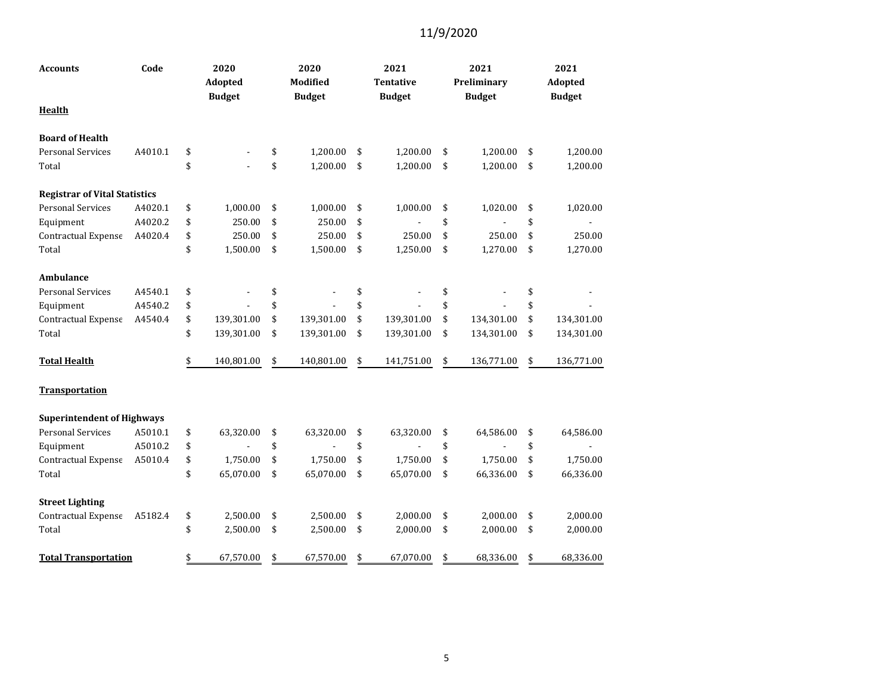| <b>Accounts</b>                      | Code    | 2020<br>Adopted<br><b>Budget</b> | 2020<br>Modified<br><b>Budget</b> | 2021<br>Tentative<br><b>Budget</b> | 2021<br>Preliminary<br><b>Budget</b> | 2021<br>Adopted<br><b>Budget</b> |
|--------------------------------------|---------|----------------------------------|-----------------------------------|------------------------------------|--------------------------------------|----------------------------------|
| <b>Health</b>                        |         |                                  |                                   |                                    |                                      |                                  |
| <b>Board of Health</b>               |         |                                  |                                   |                                    |                                      |                                  |
| <b>Personal Services</b>             | A4010.1 | \$                               | \$<br>1,200.00                    | \$<br>1,200.00                     | \$<br>1,200.00                       | \$<br>1,200.00                   |
| Total                                |         | \$                               | \$<br>1,200.00                    | \$<br>1,200.00                     | \$<br>1,200.00                       | \$<br>1,200.00                   |
| <b>Registrar of Vital Statistics</b> |         |                                  |                                   |                                    |                                      |                                  |
| <b>Personal Services</b>             | A4020.1 | \$<br>1,000.00                   | \$<br>1,000.00                    | \$<br>1,000.00                     | \$<br>1,020.00                       | \$<br>1,020.00                   |
| Equipment                            | A4020.2 | \$<br>250.00                     | \$<br>250.00                      | \$                                 | \$                                   | \$                               |
| Contractual Expense                  | A4020.4 | \$<br>250.00                     | \$<br>250.00                      | \$<br>250.00                       | \$<br>250.00                         | \$<br>250.00                     |
| Total                                |         | \$<br>1,500.00                   | \$<br>1,500.00                    | \$<br>1,250.00                     | \$<br>1,270.00                       | \$<br>1,270.00                   |
| Ambulance                            |         |                                  |                                   |                                    |                                      |                                  |
| <b>Personal Services</b>             | A4540.1 | \$                               | \$                                | \$                                 | \$                                   | \$                               |
| Equipment                            | A4540.2 | \$                               | \$                                | \$                                 | \$                                   | \$                               |
| Contractual Expense                  | A4540.4 | \$<br>139,301.00                 | \$<br>139,301.00                  | \$<br>139,301.00                   | \$<br>134,301.00                     | \$<br>134,301.00                 |
| Total                                |         | \$<br>139,301.00                 | \$<br>139,301.00                  | \$<br>139,301.00                   | \$<br>134,301.00                     | \$<br>134,301.00                 |
| <b>Total Health</b>                  |         | \$<br>140,801.00                 | \$<br>140,801.00                  | \$<br>141,751.00                   | \$<br>136,771.00                     | \$<br>136,771.00                 |
| <b>Transportation</b>                |         |                                  |                                   |                                    |                                      |                                  |
| <b>Superintendent of Highways</b>    |         |                                  |                                   |                                    |                                      |                                  |
| <b>Personal Services</b>             | A5010.1 | \$<br>63,320.00                  | \$<br>63,320.00                   | \$<br>63,320.00                    | \$<br>64,586.00                      | \$<br>64,586.00                  |
| Equipment                            | A5010.2 | \$                               | \$                                | \$                                 | \$                                   | \$                               |
| Contractual Expense                  | A5010.4 | \$<br>1,750.00                   | \$<br>1,750.00                    | \$<br>1,750.00                     | \$<br>1,750.00                       | \$<br>1,750.00                   |
| Total                                |         | \$<br>65,070.00                  | \$<br>65,070.00                   | \$<br>65,070.00                    | \$<br>66,336.00                      | \$<br>66,336.00                  |
| <b>Street Lighting</b>               |         |                                  |                                   |                                    |                                      |                                  |
| Contractual Expense                  | A5182.4 | \$<br>2,500.00                   | \$<br>2,500.00                    | \$<br>2,000.00                     | \$<br>2,000.00                       | \$<br>2,000.00                   |
| Total                                |         | \$<br>2,500.00                   | \$<br>2,500.00                    | \$<br>2,000.00                     | \$<br>2,000.00                       | \$<br>2,000.00                   |
| <b>Total Transportation</b>          |         | \$<br>67,570.00                  | \$<br>67,570.00                   | \$<br>67,070.00                    | \$<br>68,336.00                      | \$<br>68,336.00                  |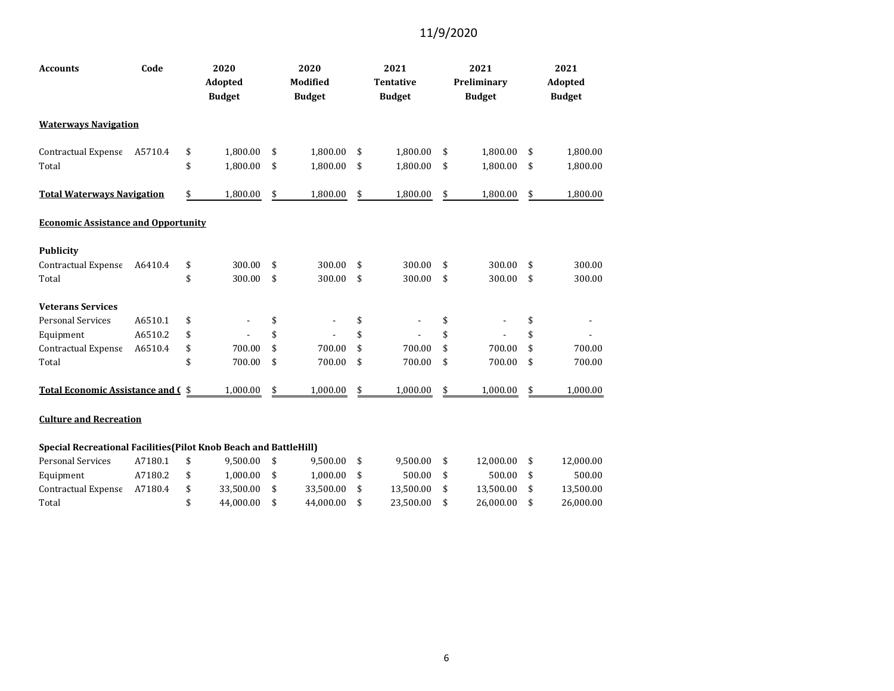| <b>Accounts</b>                                                   | Code    | 2020<br>Adopted<br><b>Budget</b> | 2020<br>Modified<br><b>Budget</b> | 2021<br><b>Tentative</b><br><b>Budget</b> | 2021<br>Preliminary<br><b>Budget</b> | 2021<br>Adopted<br><b>Budget</b> |
|-------------------------------------------------------------------|---------|----------------------------------|-----------------------------------|-------------------------------------------|--------------------------------------|----------------------------------|
| <b>Waterways Navigation</b>                                       |         |                                  |                                   |                                           |                                      |                                  |
| Contractual Expense                                               | A5710.4 | \$<br>1,800.00                   | \$<br>1,800.00                    | \$<br>1,800.00                            | \$<br>1,800.00                       | \$<br>1,800.00                   |
| Total                                                             |         | \$<br>1,800.00                   | \$<br>1,800.00                    | \$<br>1,800.00                            | \$<br>1,800.00                       | \$<br>1,800.00                   |
| <b>Total Waterways Navigation</b>                                 |         | \$<br>1,800.00                   | \$<br>1,800.00                    | \$<br>1,800.00                            | \$<br>1,800.00                       | \$<br>1,800.00                   |
| <b>Economic Assistance and Opportunity</b>                        |         |                                  |                                   |                                           |                                      |                                  |
| <b>Publicity</b>                                                  |         |                                  |                                   |                                           |                                      |                                  |
| Contractual Expense                                               | A6410.4 | \$<br>300.00                     | \$<br>300.00                      | \$<br>300.00                              | \$<br>300.00                         | \$<br>300.00                     |
| Total                                                             |         | \$<br>300.00                     | \$<br>300.00                      | \$<br>300.00                              | \$<br>300.00                         | \$<br>300.00                     |
| <b>Veterans Services</b>                                          |         |                                  |                                   |                                           |                                      |                                  |
| <b>Personal Services</b>                                          | A6510.1 | \$                               | \$                                | \$                                        | \$                                   | \$                               |
| Equipment                                                         | A6510.2 | \$                               | \$                                | \$                                        | \$                                   | \$                               |
| Contractual Expense                                               | A6510.4 | \$<br>700.00                     | \$<br>700.00                      | \$<br>700.00                              | \$<br>700.00                         | \$<br>700.00                     |
| Total                                                             |         | \$<br>700.00                     | \$<br>700.00                      | \$<br>700.00                              | \$<br>700.00                         | \$<br>700.00                     |
| Total Economic Assistance and C \$                                |         | 1,000.00                         | \$<br>1,000.00                    | \$<br>1,000.00                            | \$<br>1,000.00                       | \$<br>1,000.00                   |
| <b>Culture and Recreation</b>                                     |         |                                  |                                   |                                           |                                      |                                  |
| Special Recreational Facilities (Pilot Knob Beach and BattleHill) |         |                                  |                                   |                                           |                                      |                                  |
| <b>Personal Services</b>                                          | A7180.1 | \$<br>9,500.00                   | \$<br>9,500.00                    | \$<br>9,500.00                            | \$<br>12,000.00                      | \$<br>12,000.00                  |
| Equipment                                                         | A7180.2 | \$<br>1,000.00                   | \$<br>1,000.00                    | \$<br>500.00                              | \$<br>500.00                         | \$<br>500.00                     |
| Contractual Expense                                               | A7180.4 | \$<br>33,500.00                  | \$<br>33,500.00                   | \$<br>13,500.00                           | \$<br>13,500.00                      | \$<br>13,500.00                  |
| Total                                                             |         | \$<br>44.000.00                  | \$<br>44,000.00                   | \$<br>23,500.00                           | \$<br>26,000.00                      | \$<br>26,000.00                  |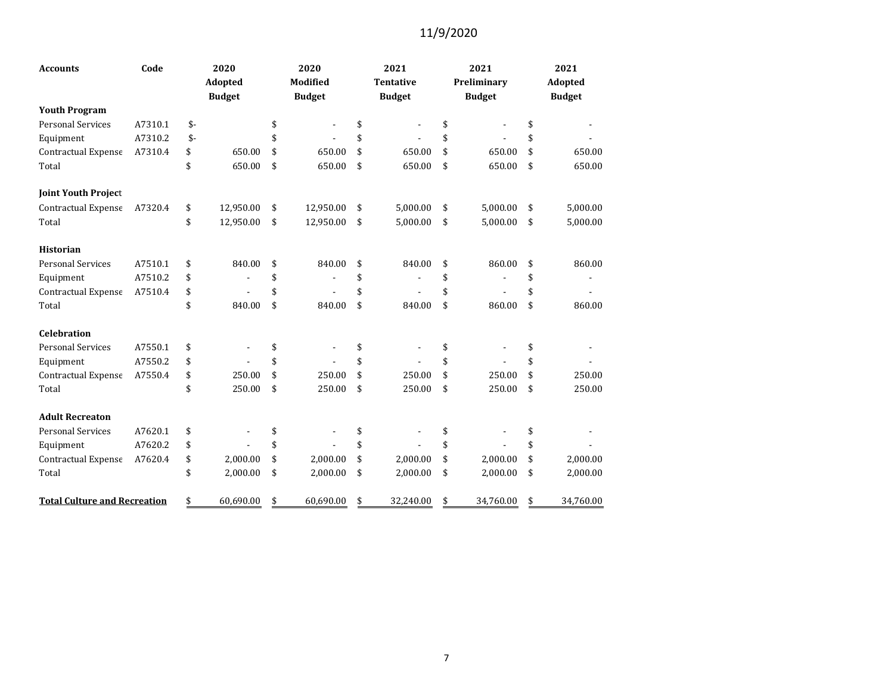| <b>Accounts</b>                     | Code    | 2020 |               | 2020 |                          |    | 2021             | 2021            | 2021            |
|-------------------------------------|---------|------|---------------|------|--------------------------|----|------------------|-----------------|-----------------|
|                                     |         |      | Adopted       |      | Modified                 |    | <b>Tentative</b> | Preliminary     | Adopted         |
|                                     |         |      | <b>Budget</b> |      | <b>Budget</b>            |    | <b>Budget</b>    | <b>Budget</b>   | <b>Budget</b>   |
| <b>Youth Program</b>                |         |      |               |      |                          |    |                  |                 |                 |
| <b>Personal Services</b>            | A7310.1 | $$-$ |               | \$   | $\overline{\phantom{a}}$ | \$ |                  | \$              | \$              |
| Equipment                           | A7310.2 | $$-$ |               | \$   | $\blacksquare$           | \$ |                  | \$              | \$              |
| Contractual Expense                 | A7310.4 | \$   | 650.00        | \$   | 650.00                   | \$ | 650.00           | \$<br>650.00    | \$<br>650.00    |
| Total                               |         | \$   | 650.00        | \$   | 650.00                   | \$ | 650.00           | \$<br>650.00    | \$<br>650.00    |
| <b>Joint Youth Project</b>          |         |      |               |      |                          |    |                  |                 |                 |
| Contractual Expense                 | A7320.4 | \$   | 12,950.00     | \$   | 12,950.00                | \$ | 5,000.00         | \$<br>5,000.00  | \$<br>5,000.00  |
| Total                               |         | \$   | 12,950.00     | \$   | 12,950.00                | \$ | 5,000.00         | \$<br>5,000.00  | \$<br>5,000.00  |
| <b>Historian</b>                    |         |      |               |      |                          |    |                  |                 |                 |
| <b>Personal Services</b>            | A7510.1 | \$   | 840.00        | \$   | 840.00                   | \$ | 840.00           | \$<br>860.00    | \$<br>860.00    |
| Equipment                           | A7510.2 | \$   |               | \$   |                          | \$ |                  | \$              | \$              |
| Contractual Expense                 | A7510.4 | \$   |               | \$   |                          | \$ |                  | \$              | \$              |
| Total                               |         | \$   | 840.00        | \$   | 840.00                   | \$ | 840.00           | \$<br>860.00    | \$<br>860.00    |
| <b>Celebration</b>                  |         |      |               |      |                          |    |                  |                 |                 |
| <b>Personal Services</b>            | A7550.1 | \$   |               | \$   |                          | \$ |                  | \$              | \$              |
| Equipment                           | A7550.2 | \$   |               | \$   |                          | \$ |                  | \$              | \$              |
| Contractual Expense                 | A7550.4 | \$   | 250.00        | \$   | 250.00                   | \$ | 250.00           | \$<br>250.00    | \$<br>250.00    |
| Total                               |         | \$   | 250.00        | \$   | 250.00                   | \$ | 250.00           | \$<br>250.00    | \$<br>250.00    |
| <b>Adult Recreaton</b>              |         |      |               |      |                          |    |                  |                 |                 |
| <b>Personal Services</b>            | A7620.1 | \$   |               | \$   |                          | \$ |                  | \$              | \$              |
| Equipment                           | A7620.2 | \$   |               | \$   |                          | \$ |                  | \$              | \$              |
| Contractual Expense                 | A7620.4 | \$   | 2,000.00      | \$   | 2,000.00                 | \$ | 2,000.00         | \$<br>2,000.00  | \$<br>2,000.00  |
| Total                               |         | \$   | 2,000.00      | \$   | 2,000.00                 | \$ | 2,000.00         | \$<br>2,000.00  | \$<br>2,000.00  |
| <b>Total Culture and Recreation</b> |         | \$   | 60,690.00     | \$   | 60.690.00                | \$ | 32.240.00        | \$<br>34,760.00 | \$<br>34,760.00 |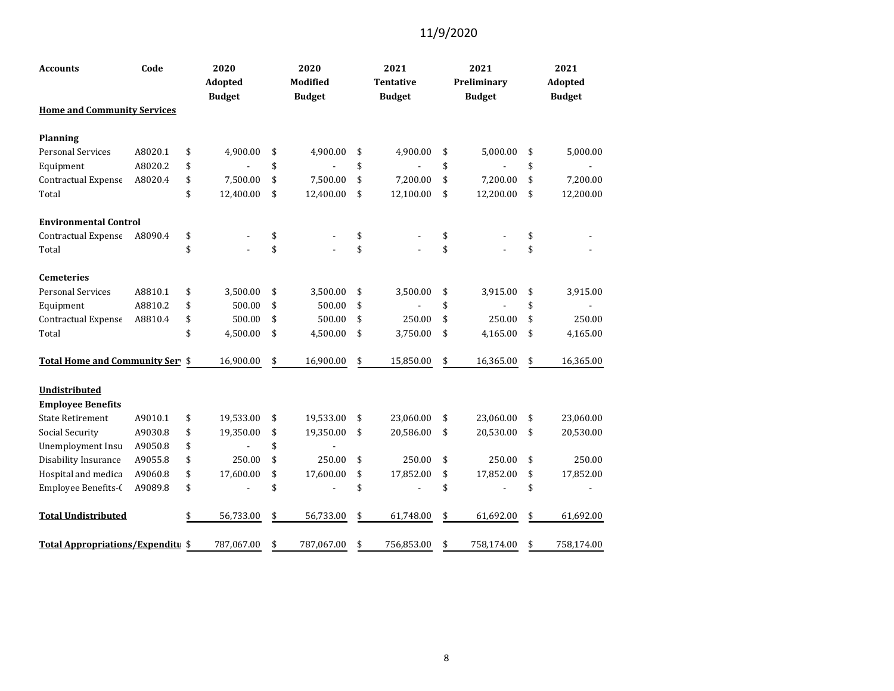| Code<br><b>Accounts</b>                  |         | 2020<br>Adopted<br><b>Budget</b> |            | 2020<br>Modified<br><b>Budget</b> |            |    | 2021<br>Tentative<br><b>Budget</b> |    | 2021<br>Preliminary<br><b>Budget</b> | 2021<br>Adopted<br><b>Budget</b> |
|------------------------------------------|---------|----------------------------------|------------|-----------------------------------|------------|----|------------------------------------|----|--------------------------------------|----------------------------------|
| <b>Home and Community Services</b>       |         |                                  |            |                                   |            |    |                                    |    |                                      |                                  |
| Planning                                 |         |                                  |            |                                   |            |    |                                    |    |                                      |                                  |
| <b>Personal Services</b>                 | A8020.1 | \$                               | 4,900.00   | \$                                | 4,900.00   | \$ | 4,900.00                           | \$ | 5,000.00                             | \$<br>5,000.00                   |
| Equipment                                | A8020.2 | \$                               |            | \$                                |            | \$ |                                    | \$ |                                      | \$                               |
| Contractual Expense                      | A8020.4 | \$                               | 7,500.00   | \$                                | 7,500.00   | \$ | 7,200.00                           | \$ | 7,200.00                             | \$<br>7,200.00                   |
| Total                                    |         | \$                               | 12,400.00  | \$                                | 12,400.00  | \$ | 12,100.00                          | \$ | 12,200.00                            | \$<br>12,200.00                  |
| <b>Environmental Control</b>             |         |                                  |            |                                   |            |    |                                    |    |                                      |                                  |
| Contractual Expense                      | A8090.4 | \$                               |            | \$                                |            | \$ |                                    | \$ |                                      | \$                               |
| Total                                    |         | \$                               |            | \$                                |            | \$ |                                    | \$ |                                      | \$                               |
| <b>Cemeteries</b>                        |         |                                  |            |                                   |            |    |                                    |    |                                      |                                  |
| <b>Personal Services</b>                 | A8810.1 | \$                               | 3,500.00   | \$                                | 3,500.00   | \$ | 3,500.00                           | \$ | 3,915.00                             | \$<br>3,915.00                   |
| Equipment                                | A8810.2 | \$                               | 500.00     | \$                                | 500.00     | \$ |                                    | \$ |                                      | \$                               |
| Contractual Expense                      | A8810.4 | \$                               | 500.00     | \$                                | 500.00     | \$ | 250.00                             | \$ | 250.00                               | \$<br>250.00                     |
| Total                                    |         | \$                               | 4,500.00   | \$                                | 4,500.00   | \$ | 3,750.00                           | \$ | 4,165.00                             | \$<br>4,165.00                   |
| Total Home and Community Sery \$         |         |                                  | 16,900.00  | \$                                | 16,900.00  | \$ | 15,850.00                          | \$ | 16,365.00                            | \$<br>16,365.00                  |
| Undistributed                            |         |                                  |            |                                   |            |    |                                    |    |                                      |                                  |
| <b>Employee Benefits</b>                 |         |                                  |            |                                   |            |    |                                    |    |                                      |                                  |
| <b>State Retirement</b>                  | A9010.1 | \$                               | 19,533.00  | \$                                | 19,533.00  | \$ | 23,060.00                          | \$ | 23,060.00                            | \$<br>23,060.00                  |
| <b>Social Security</b>                   | A9030.8 | \$                               | 19,350.00  | \$                                | 19,350.00  | \$ | 20,586.00                          | \$ | 20,530.00                            | \$<br>20,530.00                  |
| Unemployment Insu                        | A9050.8 | \$                               |            | \$                                |            |    |                                    |    |                                      |                                  |
| Disability Insurance                     | A9055.8 | \$                               | 250.00     | \$                                | 250.00     | \$ | 250.00                             | \$ | 250.00                               | \$<br>250.00                     |
| Hospital and medica                      | A9060.8 | \$                               | 17,600.00  | \$                                | 17,600.00  | \$ | 17,852.00                          | \$ | 17,852.00                            | \$<br>17,852.00                  |
| Employee Benefits-(                      | A9089.8 | \$                               |            | \$                                |            | \$ |                                    | \$ |                                      | \$                               |
| <b>Total Undistributed</b>               |         | \$                               | 56,733.00  | \$                                | 56,733.00  | \$ | 61,748.00                          | \$ | 61,692.00                            | \$<br>61,692.00                  |
| <b>Total Appropriations/Expenditu \$</b> |         |                                  | 787,067.00 | \$                                | 787,067.00 | \$ | 756,853.00                         | \$ | 758,174.00                           | \$<br>758,174.00                 |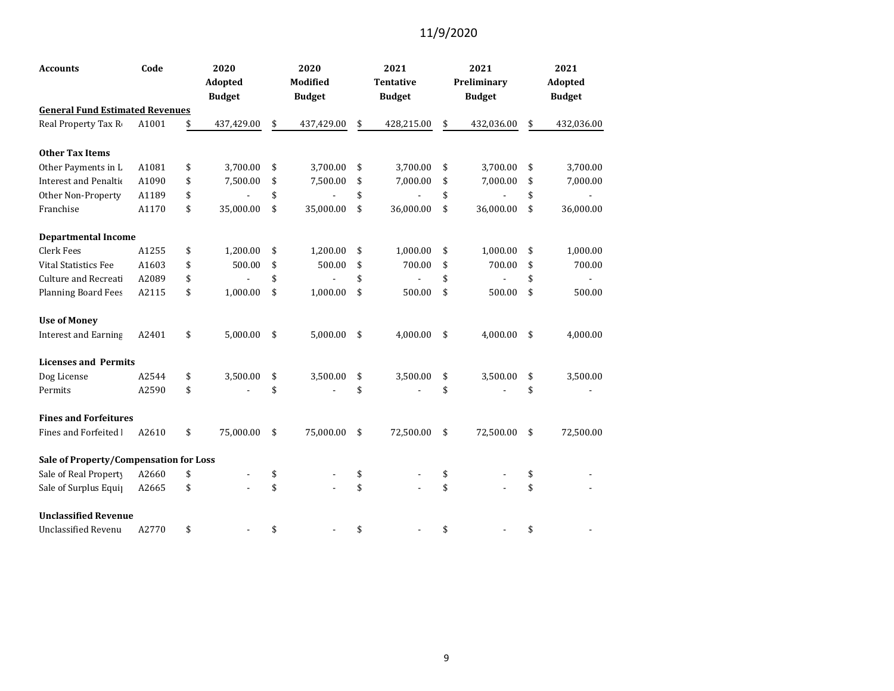| <b>Accounts</b>                        | Code  | 2020 |               | 2020 |               | 2021                 | 2021             | 2021             |
|----------------------------------------|-------|------|---------------|------|---------------|----------------------|------------------|------------------|
|                                        |       |      | Adopted       |      | Modified      | <b>Tentative</b>     | Preliminary      | Adopted          |
|                                        |       |      | <b>Budget</b> |      | <b>Budget</b> | <b>Budget</b>        | <b>Budget</b>    | <b>Budget</b>    |
| <b>General Fund Estimated Revenues</b> |       |      |               |      |               |                      |                  |                  |
| Real Property Tax Ro                   | A1001 | \$   | 437,429.00    | \$   | 437,429.00    | \$<br>428,215.00     | \$<br>432,036.00 | \$<br>432,036.00 |
| <b>Other Tax Items</b>                 |       |      |               |      |               |                      |                  |                  |
| Other Payments in L                    | A1081 | \$   | 3,700.00      | \$   | 3,700.00      | \$<br>3,700.00       | \$<br>3,700.00   | \$<br>3,700.00   |
| Interest and Penaltio                  | A1090 | \$   | 7,500.00      | \$   | 7,500.00      | \$<br>7,000.00       | \$<br>7,000.00   | \$<br>7,000.00   |
| Other Non-Property                     | A1189 | \$   |               | \$   |               | \$<br>$\blacksquare$ | \$               | \$               |
| Franchise                              | A1170 | \$   | 35,000.00     | \$   | 35,000.00     | \$<br>36,000.00      | \$<br>36,000.00  | \$<br>36,000.00  |
| <b>Departmental Income</b>             |       |      |               |      |               |                      |                  |                  |
| <b>Clerk Fees</b>                      | A1255 | \$   | 1,200.00      | \$   | 1,200.00      | \$<br>1,000.00       | \$<br>1,000.00   | \$<br>1,000.00   |
| <b>Vital Statistics Fee</b>            | A1603 | \$   | 500.00        | \$   | 500.00        | \$<br>700.00         | \$<br>700.00     | \$<br>700.00     |
| <b>Culture and Recreati</b>            | A2089 | \$   |               | \$   |               | \$                   | \$               | \$               |
| <b>Planning Board Fees</b>             | A2115 | \$   | 1,000.00      | \$   | 1,000.00      | \$<br>500.00         | \$<br>500.00     | \$<br>500.00     |
| <b>Use of Money</b>                    |       |      |               |      |               |                      |                  |                  |
| <b>Interest and Earning</b>            | A2401 | \$   | 5,000.00      | \$   | 5,000.00      | \$<br>4,000.00       | \$<br>4,000.00   | \$<br>4,000.00   |
| <b>Licenses and Permits</b>            |       |      |               |      |               |                      |                  |                  |
| Dog License                            | A2544 | \$   | 3,500.00      | \$   | 3,500.00      | \$<br>3,500.00       | \$<br>3,500.00   | \$<br>3,500.00   |
| Permits                                | A2590 | \$   |               | \$   |               | \$                   | \$               | \$               |
| <b>Fines and Forfeitures</b>           |       |      |               |      |               |                      |                  |                  |
| Fines and Forfeited I                  | A2610 | \$   | 75,000.00     | \$   | 75,000.00     | \$<br>72,500.00      | \$<br>72,500.00  | \$<br>72,500.00  |
| Sale of Property/Compensation for Loss |       |      |               |      |               |                      |                  |                  |
| Sale of Real Property                  | A2660 | \$   |               | \$   |               | \$                   | \$               | \$               |
| Sale of Surplus Equip                  | A2665 | \$   |               | \$   |               | \$                   | \$               | \$               |
| <b>Unclassified Revenue</b>            |       |      |               |      |               |                      |                  |                  |
| <b>Unclassified Revenu</b>             | A2770 | \$   |               | \$   |               | \$                   | \$               | \$               |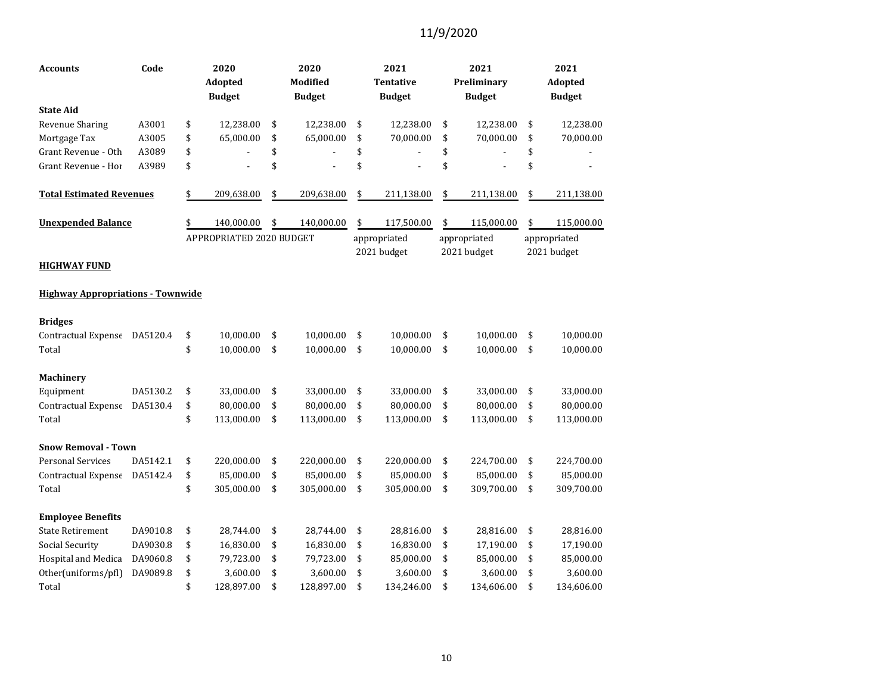| Code<br><b>Accounts</b>                  |          | 2020<br>Adopted<br><b>Budget</b> | 2020<br>Modified<br><b>Budget</b> | 2021<br><b>Tentative</b><br><b>Budget</b> | 2021<br>Preliminary<br><b>Budget</b> | 2021<br>Adopted<br><b>Budget</b> |
|------------------------------------------|----------|----------------------------------|-----------------------------------|-------------------------------------------|--------------------------------------|----------------------------------|
| <b>State Aid</b>                         |          |                                  |                                   |                                           |                                      |                                  |
| <b>Revenue Sharing</b>                   | A3001    | \$<br>12,238.00                  | \$<br>12,238.00                   | \$<br>12,238.00                           | \$<br>12,238.00                      | \$<br>12,238.00                  |
| Mortgage Tax                             | A3005    | \$<br>65,000.00                  | \$<br>65,000.00                   | \$<br>70,000.00                           | \$<br>70,000.00                      | \$<br>70,000.00                  |
| Grant Revenue - Oth                      | A3089    | \$                               | \$                                | \$                                        | \$                                   | \$                               |
| Grant Revenue - Hor                      | A3989    | \$                               | \$                                | \$                                        | \$                                   | \$                               |
| <b>Total Estimated Revenues</b>          |          | \$<br>209,638.00                 | \$<br>209,638.00                  | \$<br>211,138.00                          | \$<br>211,138.00                     | \$<br>211,138.00                 |
| <b>Unexpended Balance</b>                |          | \$<br>140,000.00                 | \$<br>140,000.00                  | \$<br>117,500.00                          | \$<br>115,000.00                     | \$<br>115,000.00                 |
| <b>HIGHWAY FUND</b>                      |          | APPROPRIATED 2020 BUDGET         |                                   | appropriated<br>2021 budget               | appropriated<br>2021 budget          | appropriated<br>2021 budget      |
| <b>Highway Appropriations - Townwide</b> |          |                                  |                                   |                                           |                                      |                                  |
| <b>Bridges</b>                           |          |                                  |                                   |                                           |                                      |                                  |
| Contractual Expense DA5120.4             |          | \$<br>10,000.00                  | \$<br>10,000.00                   | \$<br>10,000.00                           | \$<br>10,000.00                      | \$<br>10,000.00                  |
| Total                                    |          | \$<br>10,000.00                  | \$<br>10,000.00                   | \$<br>10,000.00                           | \$<br>10,000.00                      | \$<br>10,000.00                  |
| <b>Machinery</b>                         |          |                                  |                                   |                                           |                                      |                                  |
| Equipment                                | DA5130.2 | \$<br>33,000.00                  | \$<br>33,000.00                   | \$<br>33,000.00                           | \$<br>33,000.00                      | \$<br>33,000.00                  |
| Contractual Expense                      | DA5130.4 | \$<br>80,000.00                  | \$<br>80,000.00                   | \$<br>80,000.00                           | \$<br>80,000.00                      | \$<br>80,000.00                  |
| Total                                    |          | \$<br>113,000.00                 | \$<br>113,000.00                  | \$<br>113,000.00                          | \$<br>113,000.00                     | \$<br>113,000.00                 |
| <b>Snow Removal - Town</b>               |          |                                  |                                   |                                           |                                      |                                  |
| <b>Personal Services</b>                 | DA5142.1 | \$<br>220,000.00                 | \$<br>220,000.00                  | \$<br>220,000.00                          | \$<br>224,700.00                     | \$<br>224,700.00                 |
| Contractual Expense DA5142.4             |          | \$<br>85,000.00                  | \$<br>85,000.00                   | \$<br>85,000.00                           | \$<br>85,000.00                      | \$<br>85,000.00                  |
| Total                                    |          | \$<br>305,000.00                 | \$<br>305,000.00                  | \$<br>305,000.00                          | \$<br>309,700.00                     | \$<br>309,700.00                 |
| <b>Employee Benefits</b>                 |          |                                  |                                   |                                           |                                      |                                  |
| <b>State Retirement</b>                  | DA9010.8 | \$<br>28,744.00                  | \$<br>28,744.00                   | \$<br>28,816.00                           | \$<br>28,816.00                      | \$<br>28,816.00                  |
| Social Security                          | DA9030.8 | \$<br>16,830.00                  | \$<br>16,830.00                   | \$<br>16,830.00                           | \$<br>17,190.00                      | \$<br>17,190.00                  |
| Hospital and Medica                      | DA9060.8 | \$<br>79,723.00                  | \$<br>79,723.00                   | \$<br>85,000.00                           | \$<br>85,000.00                      | \$<br>85,000.00                  |
| Other(uniforms/pfl)                      | DA9089.8 | \$<br>3,600.00                   | \$<br>3,600.00                    | \$<br>3,600.00                            | \$<br>3,600.00                       | \$<br>3,600.00                   |
| Total                                    |          | \$<br>128,897.00                 | \$<br>128,897.00                  | \$<br>134,246.00                          | \$<br>134,606.00                     | \$<br>134,606.00                 |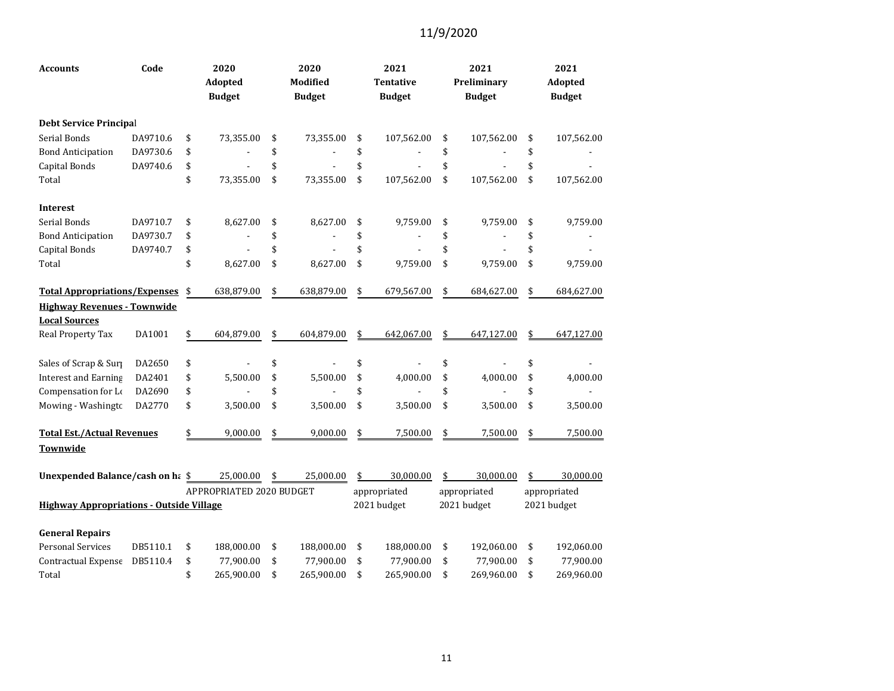| <b>Accounts</b>                                 | Code     | 2020<br>Adopted<br><b>Budget</b> | 2020<br>Modified<br><b>Budget</b> | 2021<br><b>Tentative</b><br><b>Budget</b> | 2021<br>Preliminary<br><b>Budget</b> | 2021<br>Adopted<br><b>Budget</b> |
|-------------------------------------------------|----------|----------------------------------|-----------------------------------|-------------------------------------------|--------------------------------------|----------------------------------|
| <b>Debt Service Principal</b>                   |          |                                  |                                   |                                           |                                      |                                  |
| Serial Bonds                                    | DA9710.6 | \$<br>73,355.00                  | \$<br>73,355.00                   | \$<br>107,562.00                          | \$<br>107,562.00                     | \$<br>107,562.00                 |
| <b>Bond Anticipation</b>                        | DA9730.6 | \$                               | \$                                | \$                                        | \$                                   | \$                               |
| Capital Bonds                                   | DA9740.6 | \$                               | \$                                | \$                                        | \$                                   | \$                               |
| Total                                           |          | \$<br>73,355.00                  | \$<br>73,355.00                   | \$<br>107,562.00                          | \$<br>107,562.00                     | \$<br>107,562.00                 |
| <b>Interest</b>                                 |          |                                  |                                   |                                           |                                      |                                  |
| Serial Bonds                                    | DA9710.7 | \$<br>8,627.00                   | \$<br>8,627.00                    | \$<br>9,759.00                            | \$<br>9,759.00                       | \$<br>9,759.00                   |
| <b>Bond Anticipation</b>                        | DA9730.7 | \$                               | \$                                | \$                                        | \$                                   | \$                               |
| Capital Bonds                                   | DA9740.7 | \$                               | \$                                | \$                                        | \$                                   | \$                               |
| Total                                           |          | \$<br>8,627.00                   | \$<br>8,627.00                    | \$<br>9,759.00                            | \$<br>9,759.00                       | \$<br>9,759.00                   |
| <b>Total Appropriations/Expenses</b>            |          | \$<br>638,879.00                 | \$<br>638,879.00                  | \$<br>679,567.00                          | \$<br>684,627.00                     | \$<br>684,627.00                 |
| <b>Highway Revenues - Townwide</b>              |          |                                  |                                   |                                           |                                      |                                  |
| <b>Local Sources</b>                            |          |                                  |                                   |                                           |                                      |                                  |
| Real Property Tax                               | DA1001   | \$<br>604,879.00                 | \$<br>604,879.00                  | \$<br>642,067.00                          | \$<br>647,127.00                     | 647,127.00                       |
| Sales of Scrap & Surp                           | DA2650   | \$                               | \$                                | \$                                        | \$                                   | \$                               |
| <b>Interest and Earning</b>                     | DA2401   | \$<br>5,500.00                   | \$<br>5,500.00                    | \$<br>4,000.00                            | \$<br>4,000.00                       | \$<br>4,000.00                   |
| Compensation for Lo                             | DA2690   | \$                               | \$                                | \$                                        | \$                                   | \$                               |
| Mowing - Washingtc                              | DA2770   | \$<br>3,500.00                   | \$<br>3,500.00                    | \$<br>3,500.00                            | \$<br>3,500.00                       | \$<br>3,500.00                   |
| <b>Total Est./Actual Revenues</b>               |          | \$<br>9,000.00                   | \$<br>9,000.00                    | \$<br>7,500.00                            | \$<br>7,500.00                       | \$<br>7,500.00                   |
| Townwide                                        |          |                                  |                                   |                                           |                                      |                                  |
| Unexpended Balance/cash on ha \$                |          | 25,000.00                        | \$<br>25,000.00                   | \$<br>30,000.00                           | \$<br>30,000.00                      | \$<br>30,000.00                  |
|                                                 |          | APPROPRIATED 2020 BUDGET         |                                   | appropriated                              | appropriated                         | appropriated                     |
| <b>Highway Appropriations - Outside Village</b> |          |                                  |                                   | 2021 budget                               | 2021 budget                          | 2021 budget                      |
| <b>General Repairs</b>                          |          |                                  |                                   |                                           |                                      |                                  |
| <b>Personal Services</b>                        | DB5110.1 | \$<br>188,000.00                 | \$<br>188,000.00                  | \$<br>188,000.00                          | \$<br>192,060.00                     | \$<br>192,060.00                 |
| Contractual Expense                             | DB5110.4 | \$<br>77,900.00                  | \$<br>77,900.00                   | \$<br>77,900.00                           | \$<br>77,900.00                      | \$<br>77,900.00                  |
| Total                                           |          | \$<br>265,900.00                 | \$<br>265,900.00                  | \$<br>265,900.00                          | \$<br>269,960.00                     | \$<br>269,960.00                 |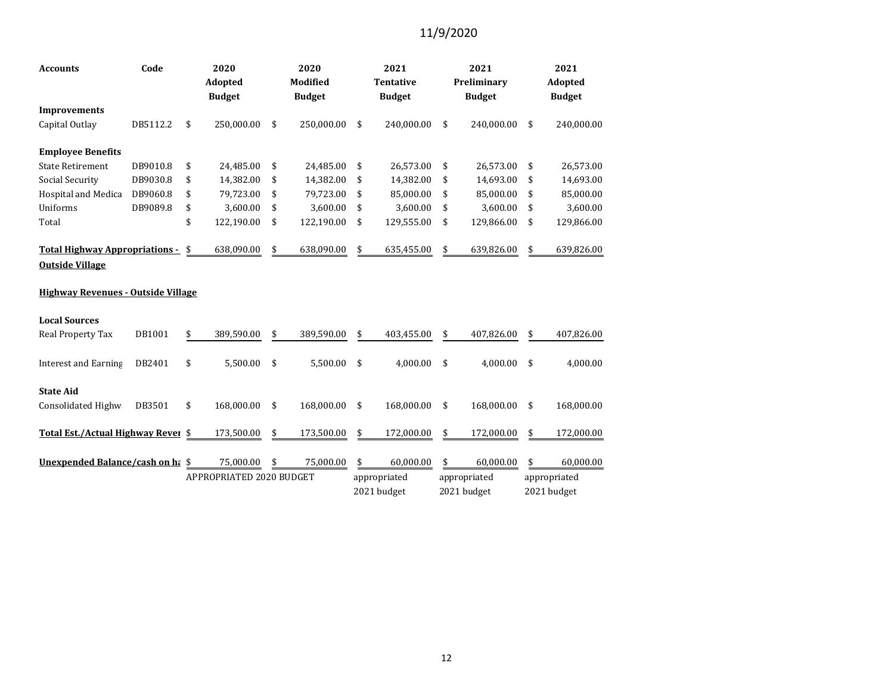| Code<br><b>Accounts</b>                                         |          | 2020<br>Adopted<br><b>Budget</b> |                          |    | 2020<br>Modified<br><b>Budget</b> | 2021<br><b>Tentative</b><br><b>Budget</b> |              | 2021<br>Preliminary<br><b>Budget</b> | 2021<br>Adopted<br><b>Budget</b> |
|-----------------------------------------------------------------|----------|----------------------------------|--------------------------|----|-----------------------------------|-------------------------------------------|--------------|--------------------------------------|----------------------------------|
| <b>Improvements</b>                                             |          |                                  |                          |    |                                   |                                           |              |                                      |                                  |
| Capital Outlay                                                  | DB5112.2 | \$                               | 250,000.00               | \$ | 250,000.00                        | \$                                        | 240,000.00   | \$<br>240,000.00                     | \$<br>240,000.00                 |
| <b>Employee Benefits</b>                                        |          |                                  |                          |    |                                   |                                           |              |                                      |                                  |
| <b>State Retirement</b>                                         | DB9010.8 | \$                               | 24,485.00                | \$ | 24,485.00                         | \$                                        | 26,573.00    | \$<br>26,573.00                      | \$<br>26,573.00                  |
| Social Security                                                 | DB9030.8 | \$                               | 14,382.00                | \$ | 14,382.00                         | \$                                        | 14,382.00    | \$<br>14,693.00                      | \$<br>14,693.00                  |
| Hospital and Medica                                             | DB9060.8 | \$                               | 79,723.00                | \$ | 79,723.00                         | \$                                        | 85,000.00    | \$<br>85,000.00                      | \$<br>85,000.00                  |
| Uniforms                                                        | DB9089.8 | \$                               | 3,600.00                 | \$ | 3,600.00                          | \$                                        | 3,600.00     | \$<br>3,600.00                       | \$<br>3,600.00                   |
| Total                                                           |          | \$                               | 122,190.00               | \$ | 122,190.00                        | \$                                        | 129,555.00   | \$<br>129,866.00                     | \$<br>129,866.00                 |
| <b>Total Highway Appropriations -</b><br><b>Outside Village</b> |          | \$                               | 638,090.00               | \$ | 638,090.00                        | \$                                        | 635,455.00   | \$<br>639,826.00                     | \$<br>639,826.00                 |
| <b>Highway Revenues - Outside Village</b>                       |          |                                  |                          |    |                                   |                                           |              |                                      |                                  |
| <b>Local Sources</b>                                            |          |                                  |                          |    |                                   |                                           |              |                                      |                                  |
| Real Property Tax                                               | DB1001   | \$                               | 389,590.00               | \$ | 389,590.00                        | \$                                        | 403,455.00   | \$<br>407.826.00                     | \$<br>407,826.00                 |
| <b>Interest and Earning</b>                                     | DB2401   | \$                               | 5,500.00                 | \$ | 5,500.00                          | \$                                        | 4.000.00     | \$<br>4.000.00                       | \$<br>4.000.00                   |
| <b>State Aid</b>                                                |          |                                  |                          |    |                                   |                                           |              |                                      |                                  |
| Consolidated Highw                                              | DB3501   | \$                               | 168,000.00               | \$ | 168,000.00                        | \$                                        | 168,000.00   | \$<br>168,000.00                     | \$<br>168,000.00                 |
| Total Est./Actual Highway Rever \$                              |          |                                  | 173,500.00               | \$ | 173,500.00                        | \$                                        | 172,000.00   | \$<br>172,000.00                     | \$<br>172,000.00                 |
| Unexpended Balance/cash on ha \$                                |          |                                  | 75,000.00                | \$ | 75,000.00                         | \$                                        | 60,000.00    | \$<br>60,000.00                      | \$<br>60,000.00                  |
|                                                                 |          |                                  | APPROPRIATED 2020 BUDGET |    |                                   |                                           | appropriated | appropriated                         | appropriated                     |
|                                                                 |          |                                  |                          |    |                                   |                                           | 2021 budget  | 2021 budget                          | 2021 budget                      |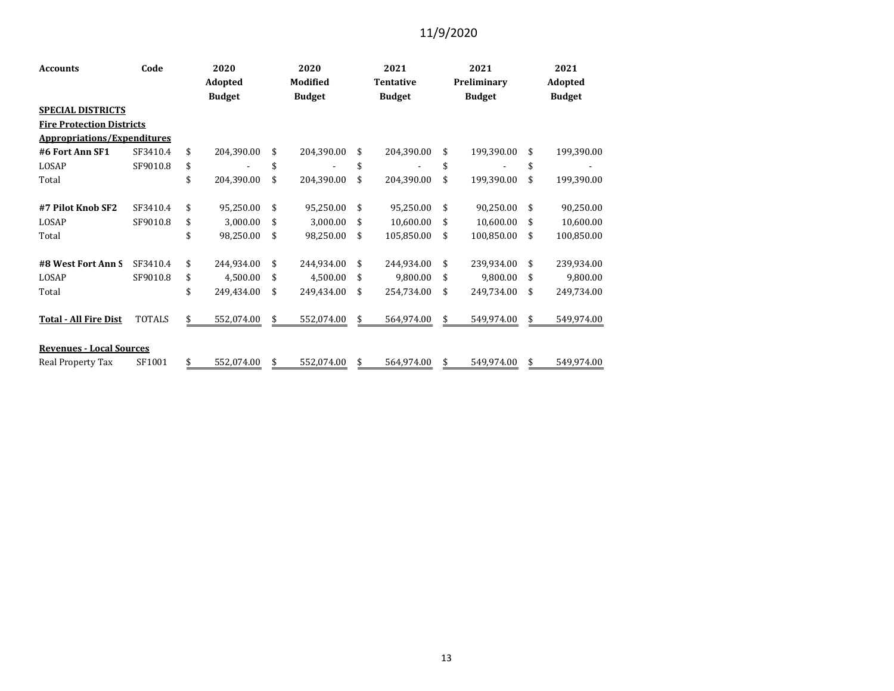| <b>Accounts</b>                    | Code          | 2020<br>Adopted |            | 2020<br>Modified |            | 2021<br><b>Tentative</b> |            | 2021 |               | 2021          |            |
|------------------------------------|---------------|-----------------|------------|------------------|------------|--------------------------|------------|------|---------------|---------------|------------|
|                                    |               |                 |            |                  |            |                          |            |      | Preliminary   | Adopted       |            |
|                                    |               | <b>Budget</b>   |            | <b>Budget</b>    |            | <b>Budget</b>            |            |      | <b>Budget</b> | <b>Budget</b> |            |
| <b>SPECIAL DISTRICTS</b>           |               |                 |            |                  |            |                          |            |      |               |               |            |
| <b>Fire Protection Districts</b>   |               |                 |            |                  |            |                          |            |      |               |               |            |
| <b>Appropriations/Expenditures</b> |               |                 |            |                  |            |                          |            |      |               |               |            |
| #6 Fort Ann SF1                    | SF3410.4      | \$              | 204,390.00 | \$               | 204,390.00 | \$                       | 204,390.00 | \$   | 199,390.00    | \$            | 199,390.00 |
| LOSAP                              | SF9010.8      | \$              |            | \$               |            | \$                       |            | \$   | ۰             | \$            |            |
| Total                              |               | \$              | 204,390.00 | \$               | 204,390.00 | \$                       | 204,390.00 | \$   | 199,390.00    | \$            | 199,390.00 |
|                                    |               |                 |            |                  |            |                          |            |      |               |               |            |
| #7 Pilot Knob SF2                  | SF3410.4      | \$              | 95,250.00  | \$               | 95,250.00  | \$                       | 95,250.00  | \$   | 90,250.00     | \$            | 90,250.00  |
| LOSAP                              | SF9010.8      | \$              | 3,000.00   | \$               | 3,000.00   | \$                       | 10,600.00  | \$   | 10,600.00     | \$            | 10,600.00  |
| Total                              |               | \$              | 98,250.00  | \$               | 98,250.00  | \$                       | 105,850.00 | \$   | 100,850.00    | \$            | 100,850.00 |
| #8 West Fort Ann S                 | SF3410.4      | \$              | 244,934.00 | \$               | 244,934.00 | \$                       | 244,934.00 | \$   | 239,934.00    | \$            | 239,934.00 |
| LOSAP                              | SF9010.8      | \$              | 4,500.00   | \$               | 4,500.00   | \$                       | 9,800.00   | \$   | 9,800.00      | \$            | 9,800.00   |
| Total                              |               | \$              | 249,434.00 | \$               | 249,434.00 | \$                       | 254,734.00 | \$   | 249,734.00    | \$            | 249,734.00 |
|                                    |               |                 |            |                  |            |                          |            |      |               |               |            |
| <b>Total - All Fire Dist</b>       | <b>TOTALS</b> | \$              | 552,074.00 | \$               | 552,074.00 | \$                       | 564,974.00 | \$   | 549,974.00    | \$            | 549,974.00 |
| <b>Revenues - Local Sources</b>    |               |                 |            |                  |            |                          |            |      |               |               |            |
| Real Property Tax                  | SF1001        | \$              | 552,074.00 | \$               | 552,074.00 | \$                       | 564,974.00 | \$   | 549,974.00    | \$            | 549,974.00 |